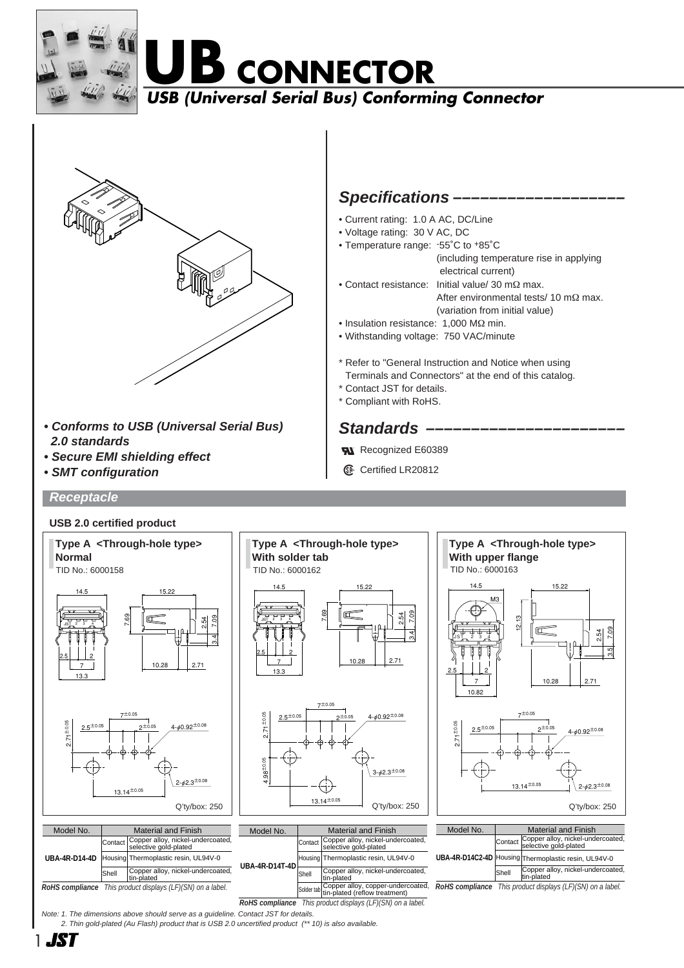

# **B** CONNECTOR

### **USB (Universal Serial Bus) Conforming Connector**



- **Conforms to USB (Universal Serial Bus) 2.0 standards**
- **Secure EMI shielding effect**
- **SMT configuration**

**Receptacle**

### **Specifications -**

- Current rating: 1.0 A AC, DC/Line
- Voltage rating: 30 V AC, DC
- Temperature range: -55˚C to +85˚C
	- (including temperature rise in applying electrical current)
- Contact resistance: Initial value/ 30 mΩ max. After environmental tests/ 10 mΩ max. (variation from initial value)
- Insulation resistance: 1,000 MΩ min.
- Withstanding voltage: 750 VAC/minute

\* Refer to "General Instruction and Notice when using Terminals and Connectors" at the end of this catalog.

- \* Contact JST for details.
- \* Compliant with RoHS.

### Standards -

- **Rall** Recognized E60389
- **1** Certified LR20812



Note: 1. The dimensions above should serve as a guideline. Contact JST for details.

2. Thin gold-plated (Au Flash) product that is USB 2.0 uncertified product (\*\* 10) is also available.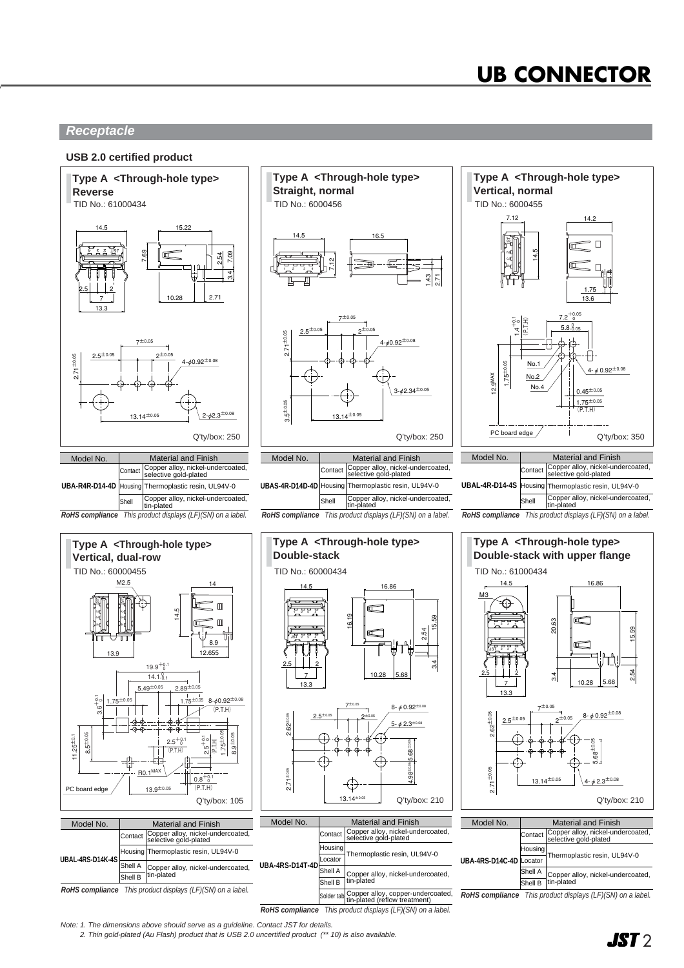# **UB CONNECTOR**

### **Receptacle**

#### **USB 2.0 certified product**



2. Thin gold-plated (Au Flash) product that is USB 2.0 uncertified product (\*\* 10) is also available.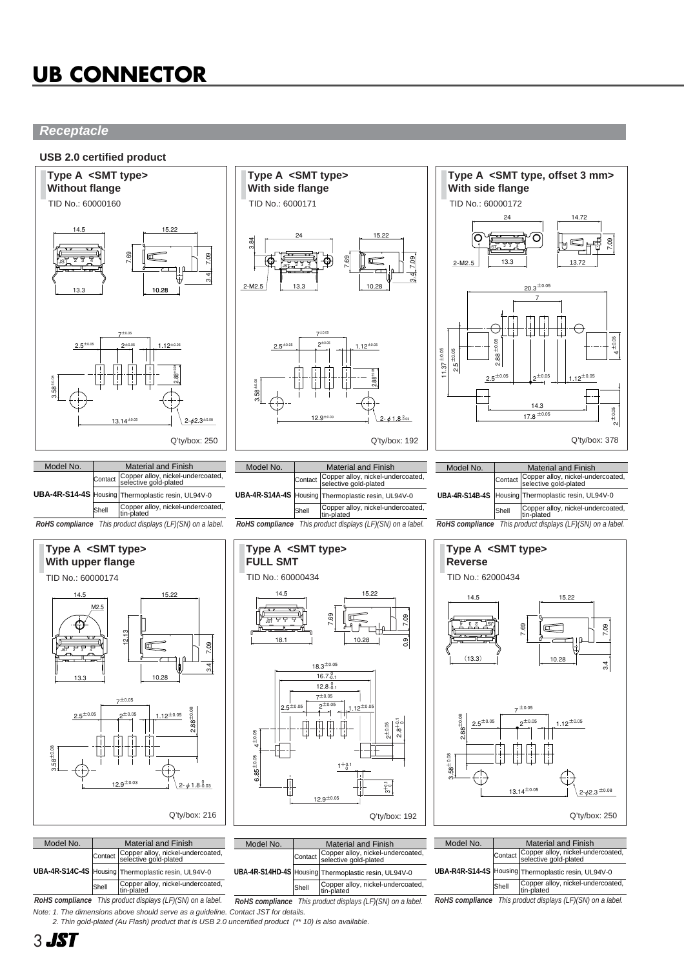# **UB CONNECTOR**

### **Receptacle**

### **USB 2.0 certified product**



| IVIUUTI INU. | <u>Malcilial and Filmon</u> |                                                                    |
|--------------|-----------------------------|--------------------------------------------------------------------|
|              |                             | Contact Copper alloy, nickel-undercoated,<br>selective gold-plated |
|              |                             | UBA-4R-S14C-4S Housing Thermoplastic resin, UL94V-0                |
|              | Shell                       | Copper alloy, nickel-undercoated,<br>tin-plated                    |
| $-$          |                             |                                                                    |

Stiell |tin-plated<br> **RoHS compliance** This product displays (LF)(SN) on a label. **RoHS compliance** This product displays (LF)(SN) on a label. **RoHS compliance** This product displays (LF)(SN) on a label. **RoHS compliance** This product displays (LF)(SN) on a label. Note: 1. The dimensions above should serve as a guideline. Contact JST for details.

**UBA-4R-S14HD-4S**

Contact Housing Shell

Thermoplastic resin, UL94V-0 Copper alloy, nickel-undercoated,

Copper alloy, nickel-undercoated, tin-plated

Housing Shell

Thermoplastic resin, UL94V-0

**UBA-R4R-S14-4S**

2. Thin gold-plated (Au Flash) product that is USB 2.0 uncertified product (\*\* 10) is also available.